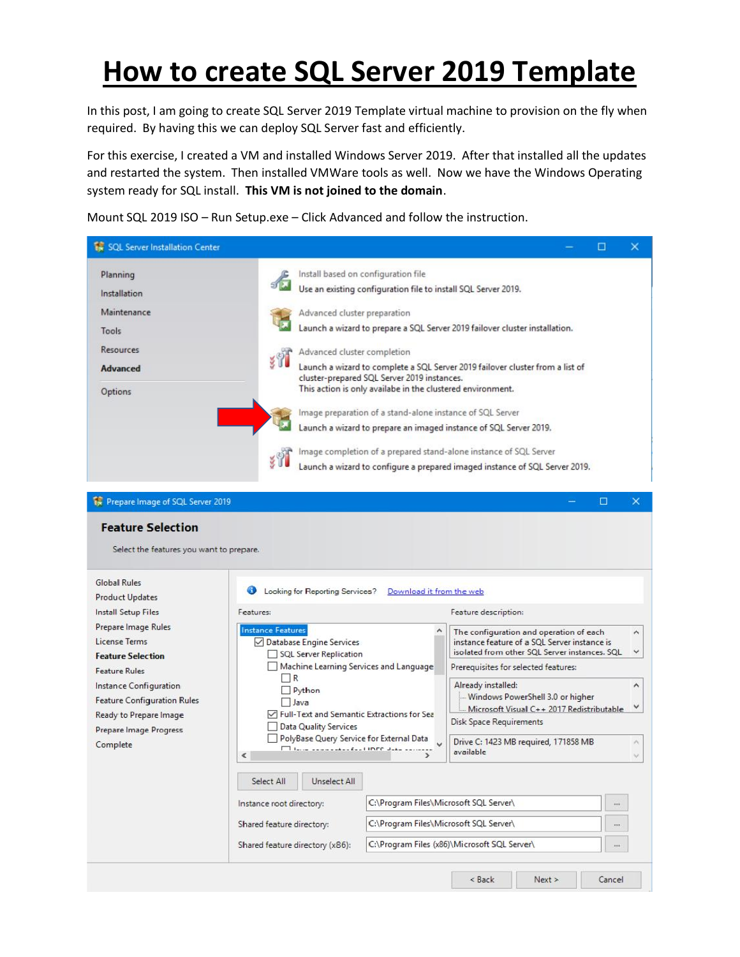## **How to create SQL Server 2019 Template**

In this post, I am going to create SQL Server 2019 Template virtual machine to provision on the fly when required. By having this we can deploy SQL Server fast and efficiently.

For this exercise, I created a VM and installed Windows Server 2019. After that installed all the updates and restarted the system. Then installed VMWare tools as well. Now we have the Windows Operating system ready for SQL install. **This VM is not joined to the domain**.

Mount SQL 2019 ISO – Run Setup.exe – Click Advanced and follow the instruction.

| <b>18</b> SQL Server Installation Center |                                                                                                                              | п | ×        |
|------------------------------------------|------------------------------------------------------------------------------------------------------------------------------|---|----------|
| Planning                                 | Install based on configuration file                                                                                          |   |          |
| Installation                             | Use an existing configuration file to install SQL Server 2019.                                                               |   |          |
| Maintenance                              | Advanced cluster preparation                                                                                                 |   |          |
| Tools                                    | Launch a wizard to prepare a SQL Server 2019 failover cluster installation.                                                  |   |          |
| <b>Resources</b>                         | Advanced cluster completion                                                                                                  |   |          |
| <b>Advanced</b>                          | Launch a wizard to complete a SQL Server 2019 failover cluster from a list of<br>cluster-prepared SQL Server 2019 instances. |   |          |
| Options                                  | This action is only availabe in the clustered environment.                                                                   |   |          |
|                                          | Image preparation of a stand-alone instance of SQL Server                                                                    |   |          |
|                                          | Launch a wizard to prepare an imaged instance of SQL Server 2019.                                                            |   |          |
|                                          | Image completion of a prepared stand-alone instance of SQL Server                                                            |   |          |
|                                          | Launch a wizard to configure a prepared imaged instance of SQL Server 2019.                                                  |   |          |
| <b>Repare Image of SQL Server 2019</b>   |                                                                                                                              | □ | $\times$ |
|                                          |                                                                                                                              |   |          |
| <b>Feature Selection</b>                 |                                                                                                                              |   |          |
| Select the features you want to prepare. |                                                                                                                              |   |          |
| <b>Global Rules</b>                      | Looking for Reporting Services?<br>Download it from the web                                                                  |   |          |

| <b>Install Setup Files</b><br>Prepare Image Rules<br>License Terms<br><b>Feature Selection</b><br><b>Feature Rules</b><br>Instance Configuration<br><b>Feature Configuration Rules</b><br>Ready to Prepare Image | Features:<br>1R<br>Python                                                                                                                                                                                                                                                                              |                                              | Feature description:<br>The configuration and operation of each<br>instance feature of a SQL Server instance is<br>isolated from other SQL Server instances. SQL<br>Prerequisites for selected features:                                             | $\lambda$<br>$\checkmark$ |  |
|------------------------------------------------------------------------------------------------------------------------------------------------------------------------------------------------------------------|--------------------------------------------------------------------------------------------------------------------------------------------------------------------------------------------------------------------------------------------------------------------------------------------------------|----------------------------------------------|------------------------------------------------------------------------------------------------------------------------------------------------------------------------------------------------------------------------------------------------------|---------------------------|--|
|                                                                                                                                                                                                                  |                                                                                                                                                                                                                                                                                                        |                                              |                                                                                                                                                                                                                                                      |                           |  |
| Prepare Image Progress<br>Complete<br>$\epsilon$                                                                                                                                                                 | <b>Instance Features</b><br>Database Engine Services<br>SQL Server Replication<br>Machine Learning Services and Language<br>$\Box$ Java<br>Full-Text and Semantic Extractions for Sea<br><b>Data Quality Services</b><br>PolyBase Query Service for External Data<br>How consider for lines and common |                                              | Already installed:<br>$\boldsymbol{\mathsf{A}}$<br>- Windows PowerShell 3.0 or higher<br>٧<br>Microsoft Visual C++ 2017 Redistributable<br>Disk Space Requirements<br>Drive C: 1423 MB required, 171858 MB<br>$\mathcal{N}_1$<br>available<br>$\sim$ |                           |  |
|                                                                                                                                                                                                                  | Unselect All<br>Select All<br>Instance root directory:                                                                                                                                                                                                                                                 | C:\Program Files\Microsoft SQL Server\       | 888                                                                                                                                                                                                                                                  |                           |  |
|                                                                                                                                                                                                                  | Shared feature directory:                                                                                                                                                                                                                                                                              | C:\Program Files\Microsoft SQL Server\<br>   |                                                                                                                                                                                                                                                      |                           |  |
|                                                                                                                                                                                                                  | Shared feature directory (x86):                                                                                                                                                                                                                                                                        | C:\Program Files (x86)\Microsoft SQL Server\ |                                                                                                                                                                                                                                                      |                           |  |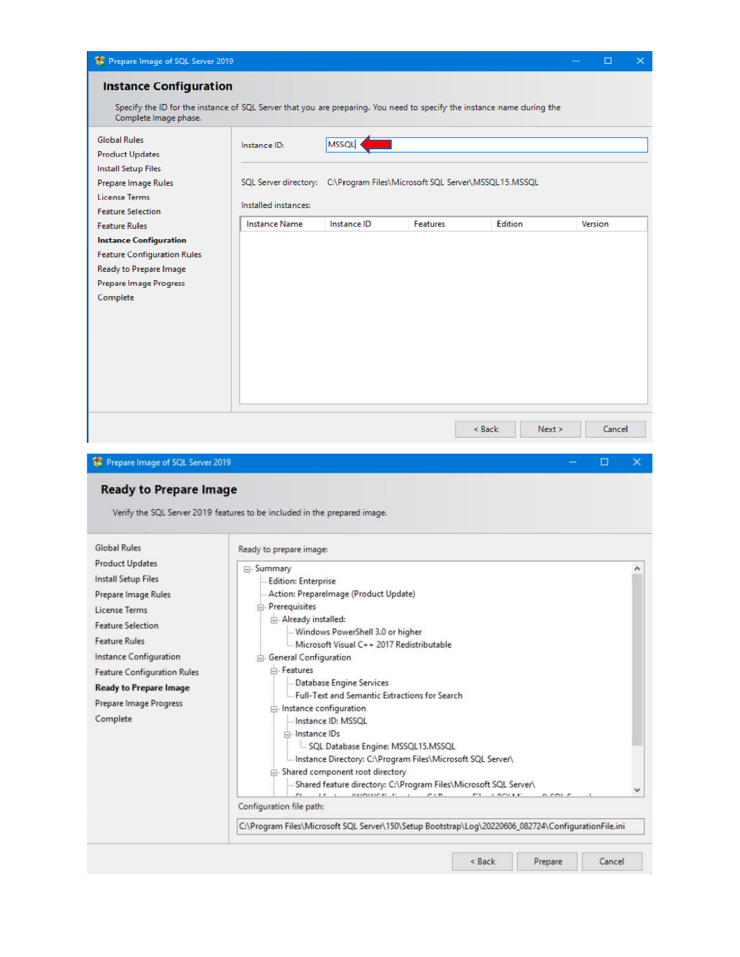|                                                                                                                                                 | Prepare Image of SQL Server 2019         |                                                                                                  |                              |                                                                                                     | □<br>$\times$    |
|-------------------------------------------------------------------------------------------------------------------------------------------------|------------------------------------------|--------------------------------------------------------------------------------------------------|------------------------------|-----------------------------------------------------------------------------------------------------|------------------|
| <b>Instance Configuration</b>                                                                                                                   |                                          |                                                                                                  |                              |                                                                                                     |                  |
| Specify the ID for the instance of SQL Server that you are preparing. You need to specify the instance name during the<br>Complete Image phase. |                                          |                                                                                                  |                              |                                                                                                     |                  |
| <b>Global Rules</b><br><b>Product Updates</b><br><b>Install Setup Files</b>                                                                     | Instance ID:                             | <b>MSSQL</b>                                                                                     |                              |                                                                                                     |                  |
| Prepare Image Rules<br><b>License Terms</b>                                                                                                     | Installed instances:                     | SQL Server directory: C:\Program Files\Microsoft SQL Server\MSSQL15.MSSQL                        |                              |                                                                                                     |                  |
| <b>Feature Selection</b><br><b>Feature Rules</b>                                                                                                | <b>Instance Name</b>                     | Instance ID                                                                                      | <b>Features</b>              | Edition                                                                                             | Version          |
| <b>Instance Configuration</b><br><b>Feature Configuration Rules</b><br>Ready to Prepare Image<br><b>Prepare Image Progress</b><br>Complete      |                                          |                                                                                                  |                              |                                                                                                     |                  |
| Prepare Image of SQL Server 2019<br><b>Ready to Prepare Image</b><br>Verify the SQL Server 2019 features to be included in the prepared image.  |                                          |                                                                                                  |                              | < Back<br>Next >                                                                                    | Cancel<br>□<br>× |
|                                                                                                                                                 |                                          |                                                                                                  |                              |                                                                                                     |                  |
|                                                                                                                                                 |                                          |                                                                                                  |                              |                                                                                                     |                  |
| <b>Global Rules</b><br><b>Product Updates</b>                                                                                                   | Ready to prepare image:                  |                                                                                                  |                              |                                                                                                     |                  |
| <b>Install Setup Files</b>                                                                                                                      | ⊟- Summary<br><b>Edition: Enterprise</b> |                                                                                                  |                              |                                                                                                     | ۸                |
| Prepare Image Rules                                                                                                                             |                                          | Action: Preparelmage (Product Update)                                                            |                              |                                                                                                     |                  |
| License Terms                                                                                                                                   | Prerequisites                            |                                                                                                  |                              |                                                                                                     |                  |
| <b>Feature Selection</b>                                                                                                                        | Already installed:                       | Windows PowerShell 3.0 or higher                                                                 |                              |                                                                                                     |                  |
| <b>Feature Rules</b>                                                                                                                            |                                          | Microsoft Visual C++ 2017 Redistributable                                                        |                              |                                                                                                     |                  |
| Instance Configuration                                                                                                                          | General Configuration                    |                                                                                                  |                              |                                                                                                     |                  |
| <b>Feature Configuration Rules</b>                                                                                                              | Features                                 |                                                                                                  |                              |                                                                                                     |                  |
| <b>Ready to Prepare Image</b>                                                                                                                   |                                          | Database Engine Services<br>- Full-Text and Semantic Extractions for Search                      |                              |                                                                                                     |                  |
| Prepare Image Progress                                                                                                                          |                                          | instance configuration                                                                           |                              |                                                                                                     |                  |
| Complete                                                                                                                                        |                                          | Instance ID: MSSQL                                                                               |                              |                                                                                                     |                  |
|                                                                                                                                                 | instance IDs                             |                                                                                                  |                              |                                                                                                     |                  |
|                                                                                                                                                 |                                          | SQL Database Engine: MSSQL15.MSSQL<br>Instance Directory: C:\Program Files\Microsoft SQL Server\ |                              |                                                                                                     |                  |
|                                                                                                                                                 |                                          | Shared component root directory                                                                  |                              |                                                                                                     |                  |
|                                                                                                                                                 |                                          | -- Shared feature directory: C:\Program Files\Microsoft SQL Server\                              | <b><i>BARBARAT : CIB</i></b> | m.<br><b>CONTRACT</b><br>n cos c                                                                    |                  |
|                                                                                                                                                 | Configuration file path:                 |                                                                                                  |                              |                                                                                                     |                  |
|                                                                                                                                                 |                                          |                                                                                                  |                              | C:\Program Files\Microsoft SQL Server\150\Setup Bootstrap\Log\20220606_082724\ConfigurationFile.ini |                  |